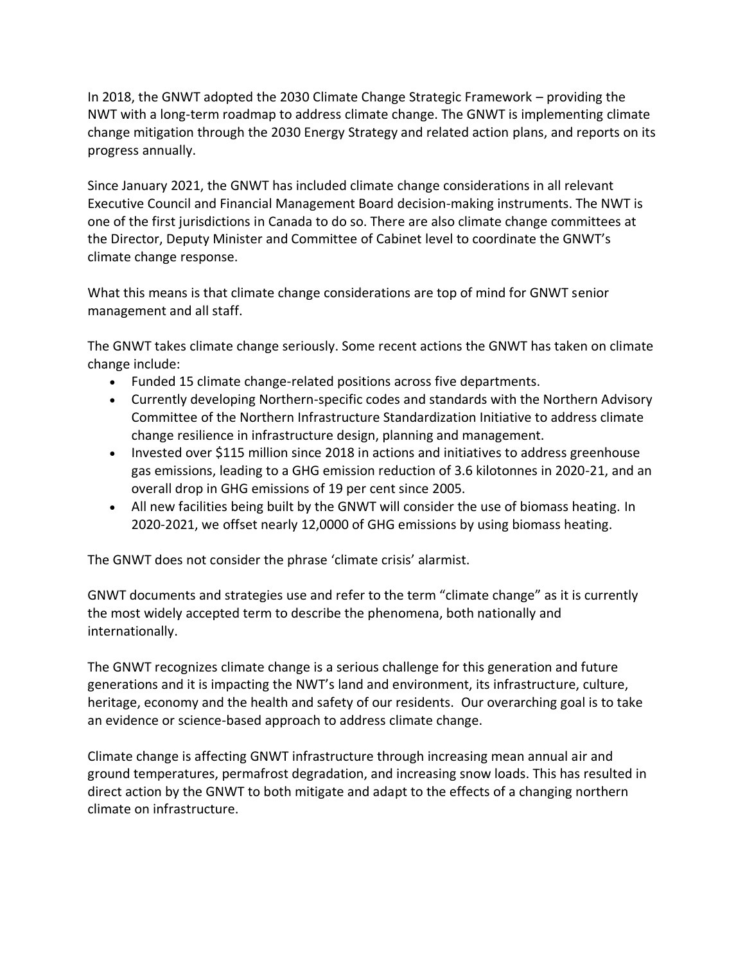In 2018, the GNWT adopted the 2030 Climate Change Strategic Framework – providing the NWT with a long-term roadmap to address climate change. The GNWT is implementing climate change mitigation through the 2030 Energy Strategy and related action plans, and reports on its progress annually.

Since January 2021, the GNWT has included climate change considerations in all relevant Executive Council and Financial Management Board decision-making instruments. The NWT is one of the first jurisdictions in Canada to do so. There are also climate change committees at the Director, Deputy Minister and Committee of Cabinet level to coordinate the GNWT's climate change response.

What this means is that climate change considerations are top of mind for GNWT senior management and all staff.

The GNWT takes climate change seriously. Some recent actions the GNWT has taken on climate change include:

- Funded 15 climate change-related positions across five departments.
- Currently developing Northern-specific codes and standards with the Northern Advisory Committee of the Northern Infrastructure Standardization Initiative to address climate change resilience in infrastructure design, planning and management.
- Invested over \$115 million since 2018 in actions and initiatives to address greenhouse gas emissions, leading to a GHG emission reduction of 3.6 kilotonnes in 2020-21, and an overall drop in GHG emissions of 19 per cent since 2005.
- All new facilities being built by the GNWT will consider the use of biomass heating. In 2020-2021, we offset nearly 12,0000 of GHG emissions by using biomass heating.

The GNWT does not consider the phrase 'climate crisis' alarmist.

GNWT documents and strategies use and refer to the term "climate change" as it is currently the most widely accepted term to describe the phenomena, both nationally and internationally.

The GNWT recognizes climate change is a serious challenge for this generation and future generations and it is impacting the NWT's land and environment, its infrastructure, culture, heritage, economy and the health and safety of our residents. Our overarching goal is to take an evidence or science-based approach to address climate change.

Climate change is affecting GNWT infrastructure through increasing mean annual air and ground temperatures, permafrost degradation, and increasing snow loads. This has resulted in direct action by the GNWT to both mitigate and adapt to the effects of a changing northern climate on infrastructure.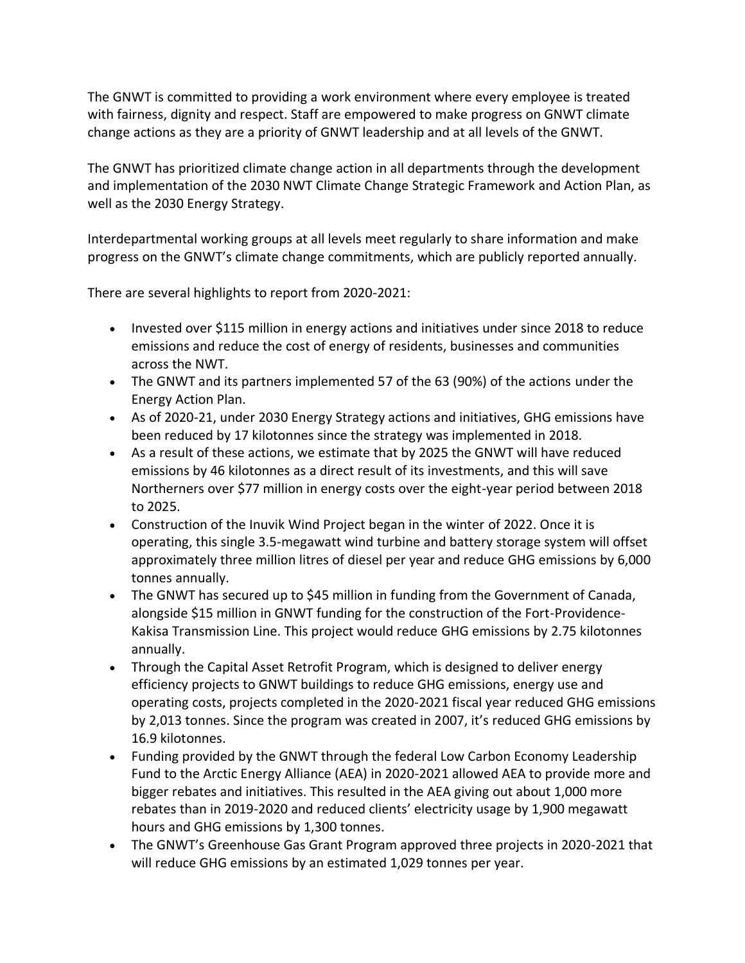The GNWT is committed to providing a work environment where every employee is treated with fairness, dignity and respect. Staff are empowered to make progress on GNWT climate change actions as they are a priority of GNWT leadership and at all levels of the GNWT.

The GNWT has prioritized climate change action in all departments through the development and implementation of the 2030 NWT Climate Change Strategic Framework and Action Plan, as well as the 2030 Energy Strategy.

Interdepartmental working groups at all levels meet regularly to share information and make progress on the GNWT's climate change commitments, which are publicly reported annually.

There are several highlights to report from 2020-2021:

- Invested over \$115 million in energy actions and initiatives under since 2018 to reduce emissions and reduce the cost of energy of residents, businesses and communities across the NWT.
- The GNWT and its partners implemented 57 of the 63 (90%) of the actions under the Energy Action Plan.
- As of 2020-21, under 2030 Energy Strategy actions and initiatives, GHG emissions have been reduced by 17 kilotonnes since the strategy was implemented in 2018.
- As a result of these actions, we estimate that by 2025 the GNWT will have reduced emissions by 46 kilotonnes as a direct result of its investments, and this will save Northerners over \$77 million in energy costs over the eight-year period between 2018 to 2025.
- Construction of the Inuvik Wind Project began in the winter of 2022. Once it is operating, this single 3.5-megawatt wind turbine and battery storage system will offset approximately three million litres of diesel per year and reduce GHG emissions by 6,000 tonnes annually.
- The GNWT has secured up to \$45 million in funding from the Government of Canada, alongside \$15 million in GNWT funding for the construction of the Fort-Providence-Kakisa Transmission Line. This project would reduce GHG emissions by 2.75 kilotonnes annually.
- Through the Capital Asset Retrofit Program, which is designed to deliver energy efficiency projects to GNWT buildings to reduce GHG emissions, energy use and operating costs, projects completed in the 2020-2021 fiscal year reduced GHG emissions by 2,013 tonnes. Since the program was created in 2007, it's reduced GHG emissions by 16.9 kilotonnes.
- Funding provided by the GNWT through the federal Low Carbon Economy Leadership Fund to the Arctic Energy Alliance (AEA) in 2020-2021 allowed AEA to provide more and bigger rebates and initiatives. This resulted in the AEA giving out about 1,000 more rebates than in 2019-2020 and reduced clients' electricity usage by 1,900 megawatt hours and GHG emissions by 1,300 tonnes.
- The GNWT's Greenhouse Gas Grant Program approved three projects in 2020-2021 that will reduce GHG emissions by an estimated 1,029 tonnes per year.